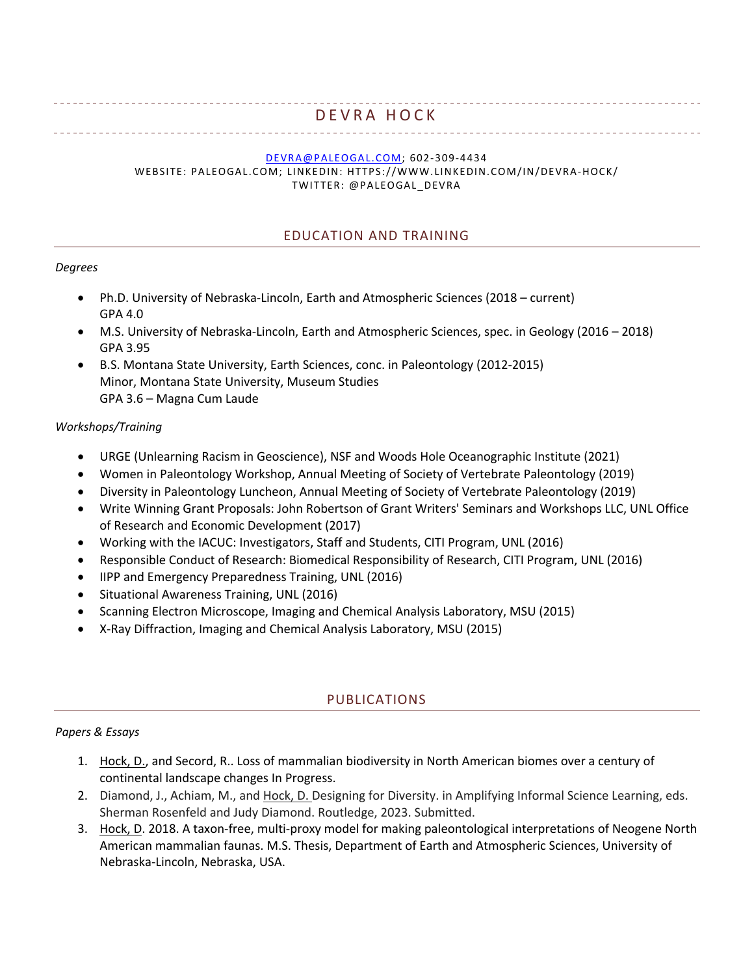# DEVRA HOCK

#### DEVRA@PALEOGAL.COM; 602-309-4434

WEBSITE: PALEOGAL.COM; LINKEDIN: HTTPS://WWW.LINKEDIN.COM/IN/DEVRA-HOCK/ TWITTER: @PALEOGAL\_DEVRA

### EDUCATION AND TRAINING

#### *Degrees*

- Ph.D. University of Nebraska-Lincoln, Earth and Atmospheric Sciences (2018 current) GPA 4.0
- M.S. University of Nebraska-Lincoln, Earth and Atmospheric Sciences, spec. in Geology (2016 2018) GPA 3.95
- B.S. Montana State University, Earth Sciences, conc. in Paleontology (2012-2015) Minor, Montana State University, Museum Studies GPA 3.6 – Magna Cum Laude

#### *Workshops/Training*

- URGE (Unlearning Racism in Geoscience), NSF and Woods Hole Oceanographic Institute (2021)
- Women in Paleontology Workshop, Annual Meeting of Society of Vertebrate Paleontology (2019)
- Diversity in Paleontology Luncheon, Annual Meeting of Society of Vertebrate Paleontology (2019)
- Write Winning Grant Proposals: John Robertson of Grant Writers' Seminars and Workshops LLC, UNL Office of Research and Economic Development (2017)
- Working with the IACUC: Investigators, Staff and Students, CITI Program, UNL (2016)
- Responsible Conduct of Research: Biomedical Responsibility of Research, CITI Program, UNL (2016)
- IIPP and Emergency Preparedness Training, UNL (2016)
- Situational Awareness Training, UNL (2016)
- Scanning Electron Microscope, Imaging and Chemical Analysis Laboratory, MSU (2015)
- X-Ray Diffraction, Imaging and Chemical Analysis Laboratory, MSU (2015)

## PUBLICATIONS

#### *Papers & Essays*

- 1. Hock, D., and Secord, R.. Loss of mammalian biodiversity in North American biomes over a century of continental landscape changes In Progress.
- 2. Diamond, J., Achiam, M., and Hock, D. Designing for Diversity. in Amplifying Informal Science Learning, eds. Sherman Rosenfeld and Judy Diamond. Routledge, 2023. Submitted.
- 3. Hock, D. 2018. A taxon-free, multi-proxy model for making paleontological interpretations of Neogene North American mammalian faunas. M.S. Thesis, Department of Earth and Atmospheric Sciences, University of Nebraska-Lincoln, Nebraska, USA.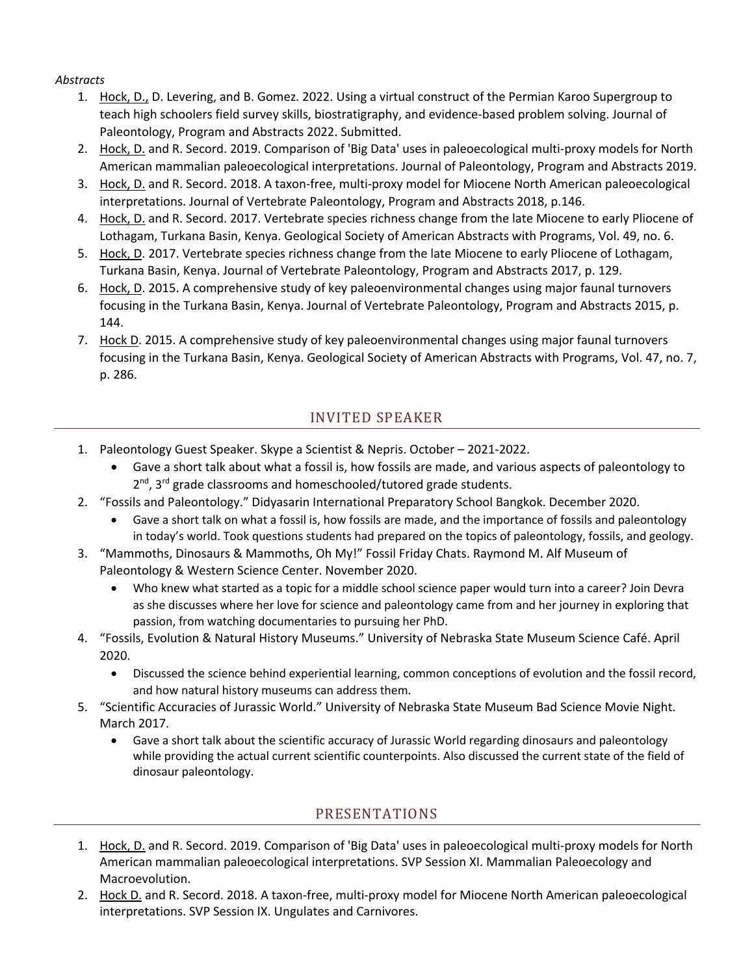## *Abstracts*

- 1. Hock, D., D. Levering, and B. Gomez. 2022. Using a virtual construct of the Permian Karoo Supergroup to teach high schoolers field survey skills, biostratigraphy, and evidence-based problem solving. Journal of Paleontology, Program and Abstracts 2022. Submitted.
- 2. Hock, D. and R. Secord. 2019. Comparison of 'Big Data' uses in paleoecological multi-proxy models for North American mammalian paleoecological interpretations. Journal of Paleontology, Program and Abstracts 2019.
- 3. Hock, D. and R. Secord. 2018. A taxon-free, multi-proxy model for Miocene North American paleoecological interpretations. Journal of Vertebrate Paleontology, Program and Abstracts 2018, p.146.
- 4. Hock, D. and R. Secord. 2017. Vertebrate species richness change from the late Miocene to early Pliocene of Lothagam, Turkana Basin, Kenya. Geological Society of American Abstracts with Programs, Vol. 49, no. 6.
- 5. Hock, D. 2017. Vertebrate species richness change from the late Miocene to early Pliocene of Lothagam, Turkana Basin, Kenya. Journal of Vertebrate Paleontology, Program and Abstracts 2017, p. 129.
- 6. Hock, D. 2015. A comprehensive study of key paleoenvironmental changes using major faunal turnovers focusing in the Turkana Basin, Kenya. Journal of Vertebrate Paleontology, Program and Abstracts 2015, p. 144.
- 7. Hock D. 2015. A comprehensive study of key paleoenvironmental changes using major faunal turnovers focusing in the Turkana Basin, Kenya. Geological Society of American Abstracts with Programs, Vol. 47, no. 7, p. 286.

# INVITED SPEAKER

- 1. Paleontology Guest Speaker. Skype a Scientist & Nepris. October 2021-2022.
	- Gave a short talk about what a fossil is, how fossils are made, and various aspects of paleontology to  $2^{nd}$ ,  $3^{rd}$  grade classrooms and homeschooled/tutored grade students.
- 2. "Fossils and Paleontology." Didyasarin International Preparatory School Bangkok. December 2020.
	- Gave a short talk on what a fossil is, how fossils are made, and the importance of fossils and paleontology in today's world. Took questions students had prepared on the topics of paleontology, fossils, and geology.
- 3. "Mammoths, Dinosaurs & Mammoths, Oh My!" Fossil Friday Chats. Raymond M. Alf Museum of Paleontology & Western Science Center. November 2020.
	- Who knew what started as a topic for a middle school science paper would turn into a career? Join Devra as she discusses where her love for science and paleontology came from and her journey in exploring that passion, from watching documentaries to pursuing her PhD.
- 4. "Fossils, Evolution & Natural History Museums." University of Nebraska State Museum Science Café. April 2020.
	- Discussed the science behind experiential learning, common conceptions of evolution and the fossil record, and how natural history museums can address them.
- 5. "Scientific Accuracies of Jurassic World." University of Nebraska State Museum Bad Science Movie Night. March 2017.
	- Gave a short talk about the scientific accuracy of Jurassic World regarding dinosaurs and paleontology while providing the actual current scientific counterpoints. Also discussed the current state of the field of dinosaur paleontology.

# PRESENTATIONS

- 1. Hock, D. and R. Secord. 2019. Comparison of 'Big Data' uses in paleoecological multi-proxy models for North American mammalian paleoecological interpretations. SVP Session XI. Mammalian Paleoecology and Macroevolution.
- 2. Hock D. and R. Secord. 2018. A taxon-free, multi-proxy model for Miocene North American paleoecological interpretations. SVP Session IX. Ungulates and Carnivores.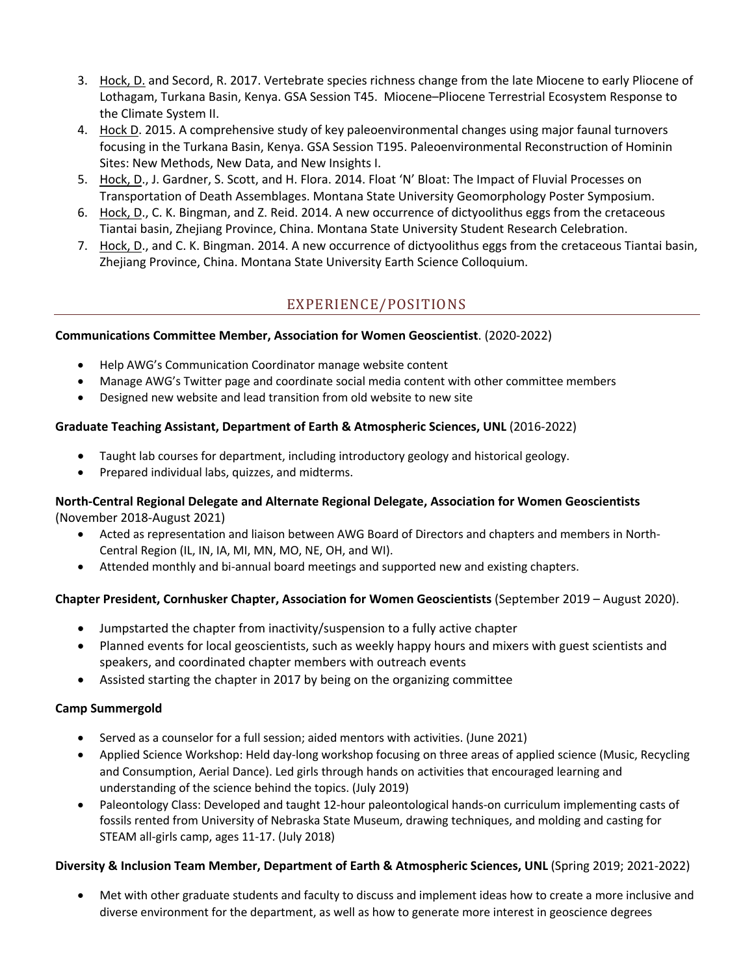- 3. Hock, D. and Secord, R. 2017. Vertebrate species richness change from the late Miocene to early Pliocene of Lothagam, Turkana Basin, Kenya. GSA Session T45. Miocene–Pliocene Terrestrial Ecosystem Response to the Climate System II.
- 4. Hock D. 2015. A comprehensive study of key paleoenvironmental changes using major faunal turnovers focusing in the Turkana Basin, Kenya. GSA Session T195. Paleoenvironmental Reconstruction of Hominin Sites: New Methods, New Data, and New Insights I.
- 5. Hock, D., J. Gardner, S. Scott, and H. Flora. 2014. Float 'N' Bloat: The Impact of Fluvial Processes on Transportation of Death Assemblages. Montana State University Geomorphology Poster Symposium.
- 6. Hock, D., C. K. Bingman, and Z. Reid. 2014. A new occurrence of dictyoolithus eggs from the cretaceous Tiantai basin, Zhejiang Province, China. Montana State University Student Research Celebration.
- 7. Hock, D., and C. K. Bingman. 2014. A new occurrence of dictyoolithus eggs from the cretaceous Tiantai basin, Zhejiang Province, China. Montana State University Earth Science Colloquium.

# EXPERIENCE/POSITIONS

## **Communications Committee Member, Association for Women Geoscientist**. (2020-2022)

- Help AWG's Communication Coordinator manage website content
- Manage AWG's Twitter page and coordinate social media content with other committee members
- Designed new website and lead transition from old website to new site

## **Graduate Teaching Assistant, Department of Earth & Atmospheric Sciences, UNL** (2016-2022)

- Taught lab courses for department, including introductory geology and historical geology.
- Prepared individual labs, quizzes, and midterms.

#### **North-Central Regional Delegate and Alternate Regional Delegate, Association for Women Geoscientists** (November 2018-August 2021)

- Acted as representation and liaison between AWG Board of Directors and chapters and members in North-Central Region (IL, IN, IA, MI, MN, MO, NE, OH, and WI).
- Attended monthly and bi-annual board meetings and supported new and existing chapters.

## **Chapter President, Cornhusker Chapter, Association for Women Geoscientists** (September 2019 – August 2020).

- Jumpstarted the chapter from inactivity/suspension to a fully active chapter
- Planned events for local geoscientists, such as weekly happy hours and mixers with guest scientists and speakers, and coordinated chapter members with outreach events
- Assisted starting the chapter in 2017 by being on the organizing committee

# **Camp Summergold**

- Served as a counselor for a full session; aided mentors with activities. (June 2021)
- Applied Science Workshop: Held day-long workshop focusing on three areas of applied science (Music, Recycling and Consumption, Aerial Dance). Led girls through hands on activities that encouraged learning and understanding of the science behind the topics. (July 2019)
- Paleontology Class: Developed and taught 12-hour paleontological hands-on curriculum implementing casts of fossils rented from University of Nebraska State Museum, drawing techniques, and molding and casting for STEAM all-girls camp, ages 11-17. (July 2018)

# **Diversity & Inclusion Team Member, Department of Earth & Atmospheric Sciences, UNL** (Spring 2019; 2021-2022)

• Met with other graduate students and faculty to discuss and implement ideas how to create a more inclusive and diverse environment for the department, as well as how to generate more interest in geoscience degrees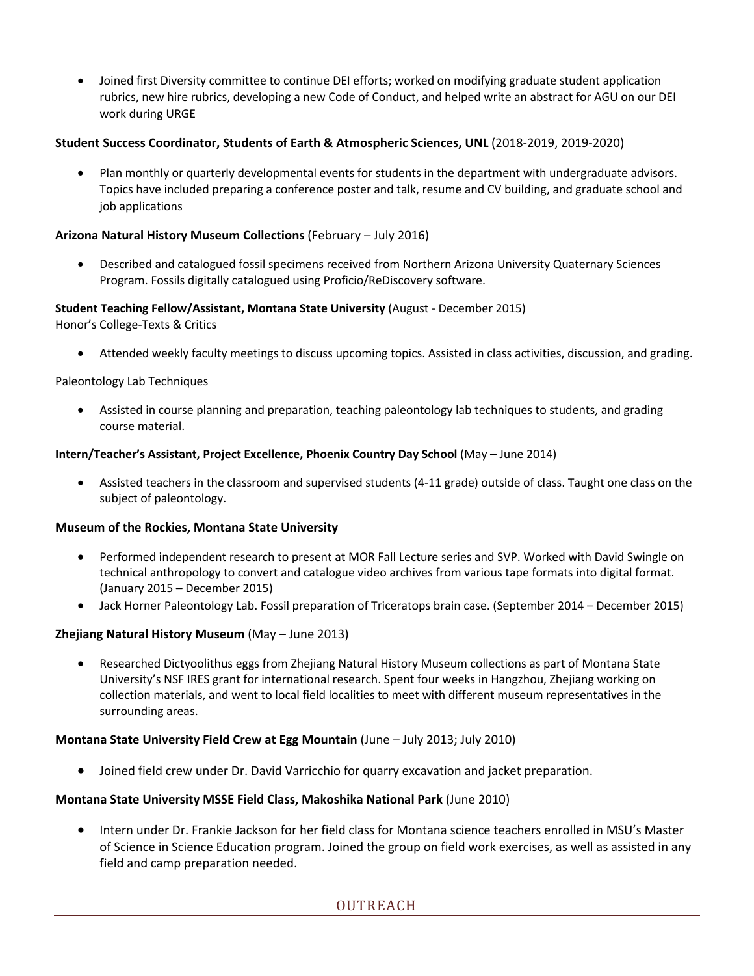• Joined first Diversity committee to continue DEI efforts; worked on modifying graduate student application rubrics, new hire rubrics, developing a new Code of Conduct, and helped write an abstract for AGU on our DEI work during URGE

#### **Student Success Coordinator, Students of Earth & Atmospheric Sciences, UNL** (2018-2019, 2019-2020)

• Plan monthly or quarterly developmental events for students in the department with undergraduate advisors. Topics have included preparing a conference poster and talk, resume and CV building, and graduate school and job applications

#### **Arizona Natural History Museum Collections** (February – July 2016)

• Described and catalogued fossil specimens received from Northern Arizona University Quaternary Sciences Program. Fossils digitally catalogued using Proficio/ReDiscovery software.

#### **Student Teaching Fellow/Assistant, Montana State University** (August - December 2015)

Honor's College-Texts & Critics

• Attended weekly faculty meetings to discuss upcoming topics. Assisted in class activities, discussion, and grading.

#### Paleontology Lab Techniques

• Assisted in course planning and preparation, teaching paleontology lab techniques to students, and grading course material.

#### **Intern/Teacher's Assistant, Project Excellence, Phoenix Country Day School** (May – June 2014)

• Assisted teachers in the classroom and supervised students (4-11 grade) outside of class. Taught one class on the subject of paleontology.

#### **Museum of the Rockies, Montana State University**

- Performed independent research to present at MOR Fall Lecture series and SVP. Worked with David Swingle on technical anthropology to convert and catalogue video archives from various tape formats into digital format. (January 2015 – December 2015)
- Jack Horner Paleontology Lab. Fossil preparation of Triceratops brain case. (September 2014 December 2015)

#### **Zhejiang Natural History Museum** (May – June 2013)

• Researched Dictyoolithus eggs from Zhejiang Natural History Museum collections as part of Montana State University's NSF IRES grant for international research. Spent four weeks in Hangzhou, Zhejiang working on collection materials, and went to local field localities to meet with different museum representatives in the surrounding areas.

#### **Montana State University Field Crew at Egg Mountain** (June – July 2013; July 2010)

• Joined field crew under Dr. David Varricchio for quarry excavation and jacket preparation.

#### **Montana State University MSSE Field Class, Makoshika National Park** (June 2010)

• Intern under Dr. Frankie Jackson for her field class for Montana science teachers enrolled in MSU's Master of Science in Science Education program. Joined the group on field work exercises, as well as assisted in any field and camp preparation needed.

# OUTREACH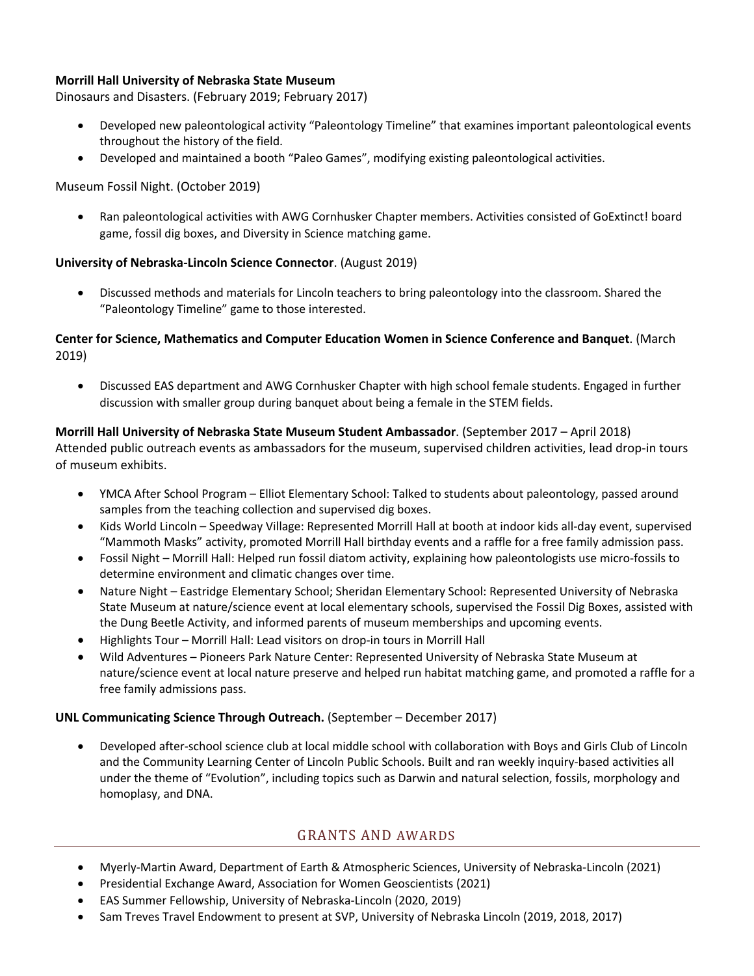## **Morrill Hall University of Nebraska State Museum**

Dinosaurs and Disasters. (February 2019; February 2017)

- Developed new paleontological activity "Paleontology Timeline" that examines important paleontological events throughout the history of the field.
- Developed and maintained a booth "Paleo Games", modifying existing paleontological activities.

Museum Fossil Night. (October 2019)

• Ran paleontological activities with AWG Cornhusker Chapter members. Activities consisted of GoExtinct! board game, fossil dig boxes, and Diversity in Science matching game.

#### **University of Nebraska-Lincoln Science Connector**. (August 2019)

• Discussed methods and materials for Lincoln teachers to bring paleontology into the classroom. Shared the "Paleontology Timeline" game to those interested.

### **Center for Science, Mathematics and Computer Education Women in Science Conference and Banquet**. (March 2019)

• Discussed EAS department and AWG Cornhusker Chapter with high school female students. Engaged in further discussion with smaller group during banquet about being a female in the STEM fields.

**Morrill Hall University of Nebraska State Museum Student Ambassador**. (September 2017 – April 2018) Attended public outreach events as ambassadors for the museum, supervised children activities, lead drop-in tours of museum exhibits.

- YMCA After School Program Elliot Elementary School: Talked to students about paleontology, passed around samples from the teaching collection and supervised dig boxes.
- Kids World Lincoln Speedway Village: Represented Morrill Hall at booth at indoor kids all-day event, supervised "Mammoth Masks" activity, promoted Morrill Hall birthday events and a raffle for a free family admission pass.
- Fossil Night Morrill Hall: Helped run fossil diatom activity, explaining how paleontologists use micro-fossils to determine environment and climatic changes over time.
- Nature Night Eastridge Elementary School; Sheridan Elementary School: Represented University of Nebraska State Museum at nature/science event at local elementary schools, supervised the Fossil Dig Boxes, assisted with the Dung Beetle Activity, and informed parents of museum memberships and upcoming events.
- Highlights Tour Morrill Hall: Lead visitors on drop-in tours in Morrill Hall
- Wild Adventures Pioneers Park Nature Center: Represented University of Nebraska State Museum at nature/science event at local nature preserve and helped run habitat matching game, and promoted a raffle for a free family admissions pass.

#### **UNL Communicating Science Through Outreach.** (September – December 2017)

• Developed after-school science club at local middle school with collaboration with Boys and Girls Club of Lincoln and the Community Learning Center of Lincoln Public Schools. Built and ran weekly inquiry-based activities all under the theme of "Evolution", including topics such as Darwin and natural selection, fossils, morphology and homoplasy, and DNA.

## GRANTS AND AWARDS

- Myerly-Martin Award, Department of Earth & Atmospheric Sciences, University of Nebraska-Lincoln (2021)
- Presidential Exchange Award, Association for Women Geoscientists (2021)
- EAS Summer Fellowship, University of Nebraska-Lincoln (2020, 2019)
- Sam Treves Travel Endowment to present at SVP, University of Nebraska Lincoln (2019, 2018, 2017)